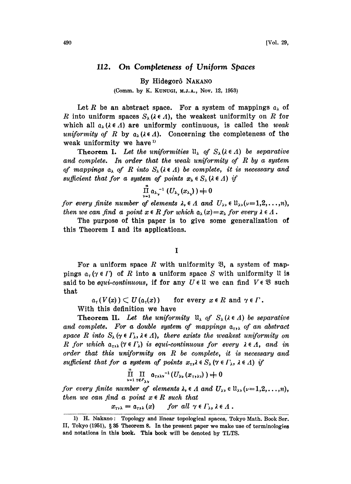## 112. On Completeness of Uniform Spaces

By Hidegorô NAKANO

(Comm. by K. KUNU6, M.J.A., Nov. 12, 1953)

Let R be an abstract space. For a system of mappings  $a_{\lambda}$  of R into uniform spaces  $S_{\lambda}$  ( $\lambda \in \Lambda$ ), the weakest uniformity on R for which all  $a_{\lambda}$  ( $\lambda \in \Lambda$ ) are uniformly continuous, is called the weak uniformity of R by  $a_{\lambda}$  ( $\lambda \in \Lambda$ ). Concerning the completeness of the weak uniformity we have<sup>1)</sup>

**Theorem I.** Let the uniformities  $\mathfrak{u}_{\lambda}$  of  $S_{\lambda}(\lambda \in \Lambda)$  be separative and complete. In order that the weak uniformity of  $R$  by a system of mappings  $a_{\lambda}$  of R into  $S_{\lambda}$  ( $\lambda \in \Lambda$ ) be complete, it is necessary and sufficient that for a system of points  $x_{\lambda} \in S_{\lambda}$  ( $\lambda \in \Lambda$ ) if

$$
\prod_{\nu=1}^n a_{\lambda_{\nu}}^{-1} (U_{\lambda_{\nu}}(x_{\lambda_{\nu}})) \neq 0
$$

for every finite number of elements  $\lambda_{\nu} \in \Lambda$  and  $U_{\lambda\nu} \in \mathfrak{U}_{\lambda\nu}(\nu=1,2,\ldots,n)$ , then we can find a point  $x \in R$  for which  $a_{\lambda}(x) = x_{\lambda}$  for every  $\lambda \in \Lambda$ .

The purpose of this paper is to give some generalization of this Theorem <sup>I</sup> and its applications.

## $\mathbf I$

For a uniform space R with uniformity  $\mathfrak{B}$ , a system of mappings  $a_{\tau}$  ( $\gamma \in \Gamma$ ) of R into a uniform space S with uniformity U is said to be equi-continuous, if for any  $U \in \mathfrak{U}$  we can find  $V \in \mathfrak{B}$  such that

 $a_r(V(x)) \subset U(a_r(x))$  for every  $x \in R$  and  $\gamma \in \Gamma$ .

With this definition we have

**Theorem II.** Let the uniformity  $\mathfrak{u}_{\lambda}$  of  $S_{\lambda}(\lambda \in \Lambda)$  be separative and complete. For a double system of mappings  $a_{r}$ , of an abstract space R into  $S_{\lambda}$  ( $\gamma \in \Gamma_{\lambda}$ ,  $\lambda \in \Lambda$ ), there exists the weakest uniformity on R for which  $a_{\tau\lambda}$  ( $\gamma \in \Gamma_{\lambda}$ ) is equi-continuous for every  $\lambda \in \Lambda$ , and in order that this uniformity on  $R$  be complete, it is necessary and sufficient that for a system of points  $x_{\tau}, \lambda \in S_{\lambda}$  ( $\gamma \in \Gamma_{\lambda}$ ,  $\lambda \in \Lambda$ ) if

$$
\prod_{\nu=1}^n \prod_{\tau \in \Gamma_{\lambda\nu}} a_{\tau\gamma\lambda\nu}^{-1} (U_{\lambda\nu}(x_{\tau\gamma\lambda\nu})) \neq 0
$$

for every finite number of elements  $\lambda_{\nu} \in \Lambda$  and  $U_{\lambda \nu} \in \mathfrak{U}_{\lambda \nu} (\nu =1,2,\ldots,n),$ then we can find a point  $x \in R$  such that

$$
x_{\tau,\lambda} = \mathfrak{a}_{\tau,\lambda}(x) \quad \text{for all } \gamma \in \Gamma_{\lambda}, \lambda \in \Lambda.
$$

<sup>1)</sup> H. Nakano: Topology and linear topological spaces, Tokyo Math. Book Ser. II, Tokyo (1951), <sup>35</sup> Theorem 8. In the present paper we make use of terminologies and notations in this book. This book will be denoted by TLTS.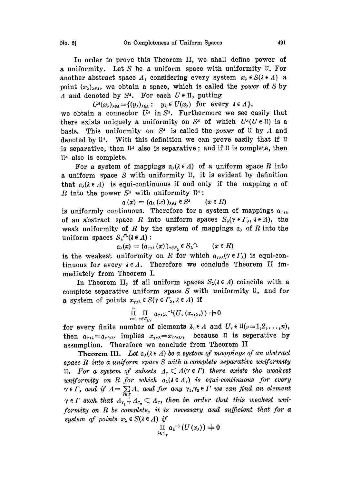In order to prove this Theorem II, we shall define power of a uniformity. Let S be a uniform space with uniformity  $\mathfrak u$ . For another abstract space  $\Lambda$ , considering every system  $x_{\lambda} \in S(\lambda \in \Lambda)$  a point  $(x_{\lambda})_{\lambda \in \Lambda}$ , we obtain a space, which is called the *power* of S by A and denoted by  $S^4$ . For each  $U \in \mathfrak{U}$ , putting

 $U^{\lambda}(x_{\lambda})_{\lambda \in \Lambda} = \{(y_{\lambda})_{\lambda \in \Lambda}: y_{\lambda} \in U(x_{\lambda}) \text{ for every } \lambda \in \Lambda\},$ 

we obtain a connector  $U^A$  in  $S^A$ . Furthermore we see easily that there exists uniquely a uniformity on  $S<sup>4</sup>$  of which  $U<sup>4</sup>(U \in \mathbb{N})$  is a basis. This uniformity on  $S<sup>4</sup>$  is called the *power* of U by A and denoted by  $\mathfrak{u}_4$ . With this definition we can prove easily that if  $\mathfrak{u}$ is separative, then  $\mathfrak{u}_4$  also is separative; and if  $\mathfrak{u}_1$  is complete, then  $\mathfrak{u}$ <sup>*a*</sup> also is complete.

For a system of mappings  $a_{\lambda}(\lambda \in \Lambda)$  of a uniform space R into a uniform space  $S$  with uniformity  $\mathfrak{u}$ , it is evident by definition that  $a_{\lambda}(\lambda \in \Lambda)$  is equi-continuous if and only if the mapping a of R into the power  $S^4$  with uniformity  $\mathfrak{u}_4$ :

$$
\alpha(x) = (\alpha_{\lambda}(x))_{\lambda \in A} \in S^A \qquad (x \in R)
$$

is uniformly continuous. Therefore for a system of mappings  $a_{\tau}$ , of an abstract space R into uniform spaces  $S_{\lambda}(\gamma \in \Gamma_{\lambda}, \lambda \in \Lambda)$ , the weak uniformity of R by the system of mappings  $a_{\lambda}$  of R into the uniform spaces  $S_{\lambda}^{r\lambda}(\lambda \in \Lambda)$ :

$$
\alpha_{\lambda}(x) = (\alpha_{\gamma,\lambda}(x))_{\gamma \in \Gamma_{\lambda}} \in S_{\lambda}^{\Gamma_{\lambda}} \qquad (x \in R)
$$

is the weakest uniformity on R for which  $a_{\tau,\lambda}$  ( $\gamma \in \Gamma_{\lambda}$ ) is equi-continuous for every  $\lambda \in \Lambda$ . Therefore we conclude Theorem II immediately from Theorem I.

In Theorem II, if all uniform spaces  $S_{\lambda}(\lambda \in \Lambda)$  coincide with a complete separative uniform space  $S$  with uniformity  $\mathfrak{u}$ , and for a system of points  $x_{\tau,\lambda} \in S(\gamma \in \Gamma_{\lambda}, \lambda \in \Lambda)$  if

$$
\prod_{\nu=1}^n \prod_{\tau \in P_{\lambda\nu}} \alpha_{\tau\lambda\lambda\nu}^{-1}(U_\nu(x_{\tau\lambda\lambda\nu})) + 0
$$

for every finite number of elements  $\lambda_{\nu} \in \Lambda$  and  $U_{\nu} \in \mathfrak{U}(\nu=1,2,\ldots,n)$ , then  $a_{\tau\lambda} = a_{\tau'\lambda'}$  implies  $x_{\tau\lambda} = x_{\tau'\lambda'}$ , because 11 is seperative by assumption. Therefore we conclude from Theorem II

**Theorem III.** Let  $a_{\lambda}$ ( $\lambda \in \Lambda$ ) be a system of mappings of an abstract space  $R$  into a uniform space  $S$  with a complete separative uniformity ii. For a system of subsets  $A_r \subset A(\gamma \in \Gamma)$  there exists the weakest<br>uniformity on R for which  $a_{\lambda}(\lambda \in A_{\tau})$  is equi-continuous for every uniformity on R for which  $a_{\lambda}(\lambda \in \Lambda_T)$  is equi-continuous for every  $\gamma \in \Gamma$ , and if  $\Lambda = \sum_{\tau \in \Gamma} \Lambda_{\tau}$  and for any  $\gamma_1, \gamma_2 \in \Gamma$  we can find an element  $\gamma \in \Gamma$  such that  $A_{\tau_1} \nightharpoonup A_{\tau_2} \subset A_{\tau}$ , then in order that this weakest uniformity on  $R$  be complete, it is necessary and sufficient that for  $a$ system of points  $x_{\lambda} \in S(\lambda \in \Lambda)$  if

$$
\prod_{\lambda \in \mathfrak{t}_{\gamma}} \mathfrak{a}_{\lambda}^{-1}(U(x_{\lambda})) \neq 0
$$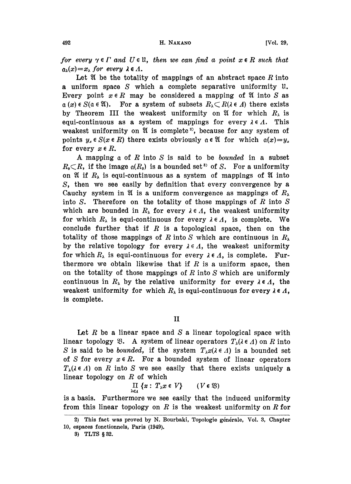for every  $\gamma \in \Gamma$  and  $U \in \mathfrak{U}$ , then we can find a point  $x \in R$  such that  $a_{\lambda}(x)=x_{\lambda}$  for every  $\lambda \in \Lambda$ .

Let  $\mathfrak A$  be the totality of mappings of an abstract space  $R$  into a uniform space S which a complete separative uniformity  $\mathfrak{u}$ . Every point  $x \in R$  may be considered a mapping of  $\mathfrak A$  into S as  $\alpha(x) \in S(\alpha \in \mathfrak A)$ . For a system of subsets  $R_{\lambda} \subset R(\lambda \in \Lambda)$  there exists by Theorem III the weakent uniformity on  $\mathfrak A$  for which B is by Theorem III the weakest uniformity on  $\mathfrak A$  for which  $R_\lambda$  is equi-continuous as a system of mappings for every  $\lambda \in \Lambda$ . This weakest uniformity on  $\mathfrak A$  is complete<sup>2</sup>, because for any system of points  $y_x \in S(x \in R)$  there exists obviously  $a \in \mathfrak{A}$  for which  $a(x)=y_x$ for every  $x \in R$ .

A mapping  $a$  of  $R$  into  $S$  is said to be *bounded* in a subset  $R_0 \subset R$ , if the image  $\mathfrak{a}(R_0)$  is a bounded set<sup>3</sup> of S. For a uniformity on  $\mathfrak A$  if  $R_{\lambda}$  is equi-continuous as a system of mappings of  $\mathfrak A$  into S, then we see easily by definition that every convergence by a Cauchy system in  $\mathfrak A$  is a uniform convergence as mappings of  $R_{\lambda}$ into S. Therefore on the totality of those mappings of  $R$  into  $S$ which are bounded in  $R_{\lambda}$  for every  $\lambda \in \Lambda$ , the weakest uniformity for which  $R_{\lambda}$  is equi-continuous for every  $\lambda \in \Lambda$ , is complete. We conclude further that if  $R$  is a topological space, then on the totality of those mappings of R into S which are continuous in  $R_{\lambda}$ by the relative topology for every  $\lambda \in \Lambda$ , the weakest uniformity for which  $R_{\lambda}$  is equi-continuous for every  $\lambda \in \Lambda$ , is complete. Furthermore we obtain likewise that if  $R$  is a uniform space, then on the totality of those mappings of R into S which are uniformly continuous in  $R_{\lambda}$  by the relative uniformity for every  $\lambda \in \Lambda$ , the weakest uniformity for which  $R_{\lambda}$  is equi-continuous for every  $\lambda \in \Lambda$ , is complete.

II

Let  $R$  be a linear space and  $S$  a linear topological space with linear topology  $\mathfrak{B}$ . A system of linear operators  $T_{\lambda}(\lambda \in \Lambda)$  on R into S is said to be bounded, if the system  $T_\lambda x(\lambda \in \Lambda)$  is a bounded set of S for every  $x \in R$ . For a bounded system of linear operators  $T_{\lambda}(\lambda \in \Lambda)$  on R into S we see easily that there exists uniquely a linear topology on  $R$  of which

$$
\prod_{\lambda \in \Lambda} \{x : T_{\lambda} x \in V\} \qquad (V \in \mathfrak{B})
$$

is a basis. Furthermore we see easily that the induced uniformity from this linear topology on  $R$  is the weakest uniformity on  $R$  for

<sup>2)</sup> This fact was proved by N. Bourbaki, Topologie générale, Vol. 3, Chapter 10, espaces fonctionnels, Paris (1949).

<sup>3)</sup> TLTS 32.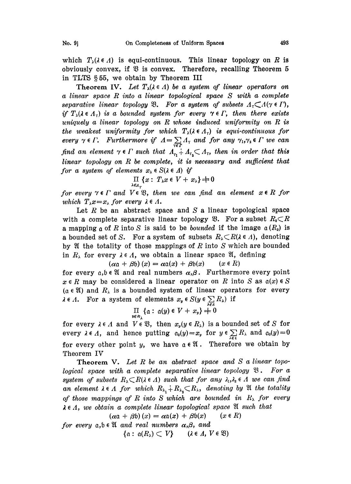which  $T_{\lambda}(\lambda \in \Lambda)$  is equi-continuous. This linear topology on R is obviously convex, if  $\mathfrak V$  is convex. Therefore, recalling Theorem 5 in TLTS 55, we obtain by Theorem III

Theorem IV. Let  $T_{\lambda}(\lambda \in \Lambda)$  be a system of linear operators on <sup>a</sup> linear space R into <sup>a</sup> linear topological space S with a complete separative linear topology  $\mathfrak{B}$ . For a system of subsets  $A_{\tau} \subset A(\gamma \in \Gamma)$ , if  $T_{\lambda}(\lambda \in A_{\tau})$  is a bounded system for every  $\gamma \in \Gamma$ , then there exists uniquely a linear topology on  $R$  whose induced uniformity on  $R$  is the weakest uniformity for which  $T_{\lambda}(\lambda \in A_{\tau})$  is equi-continuous for every  $\gamma \in \Gamma$ . Furthermore if  $A = \sum_{r \in \Gamma} A_r$  and for any  $\gamma_1, \gamma_2 \in \Gamma$  we can find an element  $\gamma \in \Gamma$  such that  $A_{r_1} \doteq A_{r_2} \subset A_r$ , then in order that this linear topology on  $R$  be complete, it is necessary and sufficient that for a system of elements  $x_{\lambda} \in S(\lambda \in \Lambda)$  if

$$
\prod_{\lambda\in A_{\tau}}\{x:\; T_{\lambda}x\in V+x_{\lambda}\}\neq 0
$$

for every  $\gamma \in \Gamma$  and  $V \in \mathfrak{B}$ , then we can find an element  $x \in R$  for which  $T_{\lambda}x=x_{\lambda}$  for every  $\lambda \in \Lambda$ .

Let  $R$  be an abstract space and  $S$  a linear topological space with a complete separative linear topology  $\mathfrak{B}$ . For a subset  $R_0 \subset R$ a mapping  $\alpha$  of R into S is said to be *bounded* if the image  $\alpha(R_0)$  is a bounded set of S. For a system of subsets  $R_{\lambda} \subset R(\lambda \in \Lambda)$ , denoting by  $\mathfrak A$  the totality of those mappings of R into S which are bounded in  $R_{\lambda}$  for every  $\lambda \in \Lambda$ , we obtain a linear space  $\mathfrak{A}$ , defining  $(\alpha a + \beta b)(x) = \alpha a(x) + \beta b(x)$   $(x \in R)$ 

 $(\alpha a + \beta b)(x) = \alpha a(x) + \beta b(x)$ 

for every  $a, b \in \mathfrak{A}$  and real numbers  $\alpha, \beta$ . Furthermore every point  $x \in R$  may be considered a linear operator on R into S as  $a(x) \in S$  $(a \in \mathfrak{A})$  and  $R_{\lambda}$  is a bounded system of linear operators for every  $\lambda \in \Lambda$ . For a system of elements  $x_y \in S(y \in \sum R_\lambda)$  if

$$
\prod_{y\in R_1}\{\alpha:\ \alpha(y)\in V+x_y\}\stackrel{\lambda\in\Lambda}{\neq}0
$$

for every  $\lambda \in \Lambda$  and  $V \in \mathfrak{B}$ , then  $x_y(y \in R_\lambda)$  is a bounded set of S for every  $\lambda \in \Lambda$ , and hence putting  $\alpha_0(y)=x_y$  for  $y \in \sum_{\lambda \in \Lambda} R_{\lambda}$  and  $\alpha_0(y)=0$ for every other point y, we have  $a \in \mathfrak{A}$ . Therefore we obtain by Theorem IV

**Theorem V.** Let R be an abstract space and S a linear topological space with a complete separative linear topology  $\mathfrak{B}$ . For a system of subsets  $R_{\lambda} \subset R(\lambda \in \Lambda)$  such that for any  $\lambda_1, \lambda_2 \in \Lambda$  we can find an element  $\lambda \in \Lambda$  for which  $R_{\lambda_1} \dotplus R_{\lambda_2} \subset R_{\lambda}$ , denoting by  $\mathfrak A$  the totality of those mappings of R into S which are bounded in  $R_{\lambda}$  for every  $\Lambda$ , we obtain a complete linear topological space  $\mathfrak A$  such that  $(\alpha \mathfrak a + \beta \mathfrak b)(x) = \alpha \mathfrak a(x) + \beta \mathfrak b(x)$   $(x \in R)$ 

 $(\alpha a + \beta b)(x) = \alpha a(x) + \beta b(x)$ <br>for every  $a, b \in \mathfrak{A}$  and real numbers  $\alpha, \beta$ , and  $\{\mathfrak{a}: \mathfrak{a}(R_{\lambda}) \subset V\}$  ( $\lambda \in \Lambda, V \in \mathfrak{B}$ )